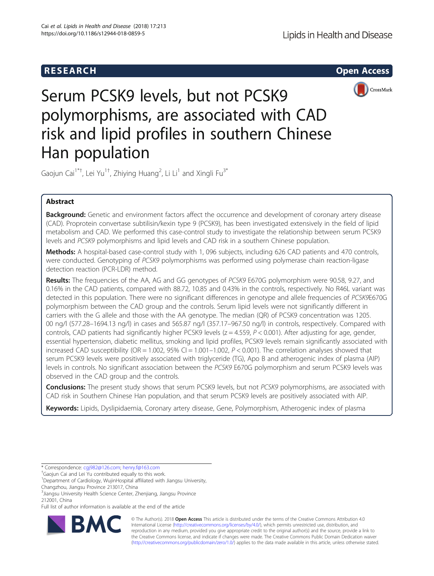## **RESEARCH CHEAR CHEAR CHEAR CHEAR CHEAR CHEAR CHEAR CHEAR CHEAR CHEAR CHEAR CHEAR CHEAR CHEAR CHEAR CHEAR CHEAR**



# Serum PCSK9 levels, but not PCSK9 polymorphisms, are associated with CAD risk and lipid profiles in southern Chinese Han population

Gaojun Cai<sup>1\*†</sup>, Lei Yu<sup>1†</sup>, Zhiying Huang<sup>2</sup>, Li Li<sup>1</sup> and Xingli Fu<sup>3\*</sup>

## Abstract

**Background:** Genetic and environment factors affect the occurrence and development of coronary artery disease (CAD). Proprotein convertase subtilisin/kexin type 9 (PCSK9), has been investigated extensively in the field of lipid metabolism and CAD. We performed this case-control study to investigate the relationship between serum PCSK9 levels and PCSK9 polymorphisms and lipid levels and CAD risk in a southern Chinese population.

Methods: A hospital-based case-control study with 1,096 subjects, including 626 CAD patients and 470 controls, were conducted. Genotyping of PCSK9 polymorphisms was performed using polymerase chain reaction-ligase detection reaction (PCR-LDR) method.

Results: The frequencies of the AA, AG and GG genotypes of PCSK9 E670G polymorphism were 90.58, 9.27, and 0.16% in the CAD patients, compared with 88.72, 10.85 and 0.43% in the controls, respectively. No R46L variant was detected in this population. There were no significant differences in genotype and allele frequencies of PCSK9E670G polymorphism between the CAD group and the controls. Serum lipid levels were not significantly different in carriers with the G allele and those with the AA genotype. The median (QR) of PCSK9 concentration was 1205. 00 ng/l (577.28–1694.13 ng/l) in cases and 565.87 ng/l (357.17–967.50 ng/l) in controls, respectively. Compared with controls, CAD patients had significantly higher PCSK9 levels ( $z = 4.559$ ,  $P < 0.001$ ). After adjusting for age, gender, essential hypertension, diabetic mellitus, smoking and lipid profiles, PCSK9 levels remain significantly associated with increased CAD susceptibility (OR = 1.002,  $95\%$  CI = 1.001-1.002,  $P < 0.001$ ). The correlation analyses showed that serum PCSK9 levels were positively associated with triglyceride (TG), Apo B and atherogenic index of plasma (AIP) levels in controls. No significant association between the PCSK9 E670G polymorphism and serum PCSK9 levels was observed in the CAD group and the controls.

**Conclusions:** The present study shows that serum PCSK9 levels, but not PCSK9 polymorphisms, are associated with CAD risk in Southern Chinese Han population, and that serum PCSK9 levels are positively associated with AIP.

Keywords: Lipids, Dyslipidaemia, Coronary artery disease, Gene, Polymorphism, Atherogenic index of plasma

\* Correspondence: [cgj982@126.com](mailto:cgj982@126.com); [henry.f@163.com](mailto:henry.f@163.com) †

<sup>+</sup>Gaojun Cai and Lei Yu contributed equally to this work.

<sup>1</sup>Department of Cardiology, WujinHospital affiliated with Jiangsu University, Changzhou, Jiangsu Province 213017, China

Full list of author information is available at the end of the article



© The Author(s). 2018 Open Access This article is distributed under the terms of the Creative Commons Attribution 4.0 International License [\(http://creativecommons.org/licenses/by/4.0/](http://creativecommons.org/licenses/by/4.0/)), which permits unrestricted use, distribution, and reproduction in any medium, provided you give appropriate credit to the original author(s) and the source, provide a link to the Creative Commons license, and indicate if changes were made. The Creative Commons Public Domain Dedication waiver [\(http://creativecommons.org/publicdomain/zero/1.0/](http://creativecommons.org/publicdomain/zero/1.0/)) applies to the data made available in this article, unless otherwise stated.

<sup>&</sup>lt;sup>3</sup> Jiangsu University Health Science Center, Zhenjiang, Jiangsu Province 212001, China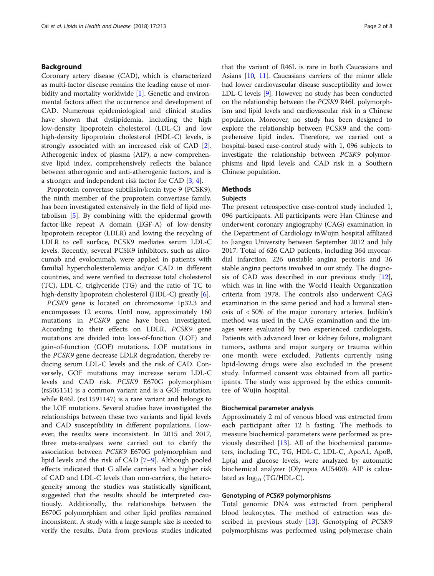## Background

Coronary artery disease (CAD), which is characterized as multi-factor disease remains the leading cause of mor-bidity and mortality worldwide [[1\]](#page-6-0). Genetic and environmental factors affect the occurrence and development of CAD. Numerous epidemiological and clinical studies have shown that dyslipidemia, including the high low-density lipoprotein cholesterol (LDL-C) and low high-density lipoprotein cholesterol (HDL-C) levels, is strongly associated with an increased risk of CAD [\[2](#page-6-0)]. Atherogenic index of plasma (AIP), a new comprehensive lipid index, comprehensively reflects the balance between atherogenic and anti-atherogenic factors, and is a stronger and independent risk factor for CAD [[3,](#page-6-0) [4\]](#page-6-0).

Proprotein convertase subtilisin/kexin type 9 (PCSK9), the ninth member of the proprotein convertase family, has been investigated extensively in the field of lipid metabolism [\[5](#page-6-0)]. By combining with the epidermal growth factor-like repeat A domain (EGF-A) of low-density lipoprotein receptor (LDLR) and lowing the recycling of LDLR to cell surface, PCSK9 mediates serum LDL-C levels. Recently, several PCSK9 inhibitors, such as alirocumab and evolocumab, were applied in patients with familial hypercholesterolemia and/or CAD in different countries, and were verified to decrease total cholesterol (TC), LDL-C, triglyceride (TG) and the ratio of TC to high-density lipoprotein cholesterol (HDL-C) greatly [[6\]](#page-6-0).

PCSK9 gene is located on chromosome 1p32.3 and encompasses 12 exons. Until now, approximately 160 mutations in PCSK9 gene have been investigated. According to their effects on LDLR, PCSK9 gene mutations are divided into loss-of-function (LOF) and gain-of-function (GOF) mutations. LOF mutations in the PCSK9 gene decrease LDLR degradation, thereby reducing serum LDL-C levels and the risk of CAD. Conversely, GOF mutations may increase serum LDL-C levels and CAD risk. PCSK9 E670G polymorphism (rs505151) is a common variant and is a GOF mutation, while R46L (rs11591147) is a rare variant and belongs to the LOF mutations. Several studies have investigated the relationships between these two variants and lipid levels and CAD susceptibility in different populations. However, the results were inconsistent. In 2015 and 2017, three meta-analyses were carried out to clarify the association between PCSK9 E670G polymorphism and lipid levels and the risk of CAD [\[7](#page-6-0)–[9](#page-7-0)]. Although pooled effects indicated that G allele carriers had a higher risk of CAD and LDL-C levels than non-carriers, the heterogeneity among the studies was statistically significant, suggested that the results should be interpreted cautiously. Additionally, the relationships between the E670G polymorphism and other lipid profiles remained inconsistent. A study with a large sample size is needed to verify the results. Data from previous studies indicated

that the variant of R46L is rare in both Caucasians and Asians [\[10,](#page-7-0) [11](#page-7-0)]. Caucasians carriers of the minor allele had lower cardiovascular disease susceptibility and lower LDL-C levels [\[9](#page-7-0)]. However, no study has been conducted on the relationship between the PCSK9 R46L polymorphism and lipid levels and cardiovascular risk in a Chinese population. Moreover, no study has been designed to explore the relationship between PCSK9 and the comprehensive lipid index. Therefore, we carried out a hospital-based case-control study with 1, 096 subjects to investigate the relationship between PCSK9 polymorphisms and lipid levels and CAD risk in a Southern Chinese population.

## Methods

## Subjects

The present retrospective case-control study included 1, 096 participants. All participants were Han Chinese and underwent coronary angiography (CAG) examination in the Department of Cardiology inWujin hospital affiliated to Jiangsu University between September 2012 and July 2017. Total of 626 CAD patients, including 364 myocardial infarction, 226 unstable angina pectoris and 36 stable angina pectoris involved in our study. The diagnosis of CAD was described in our previous study [\[12](#page-7-0)], which was in line with the World Health Organization criteria from 1978. The controls also underwent CAG examination in the same period and had a luminal stenosis of < 50% of the major coronary arteries. Judikin's method was used in the CAG examination and the images were evaluated by two experienced cardiologists. Patients with advanced liver or kidney failure, malignant tumors, asthma and major surgery or trauma within one month were excluded. Patients currently using lipid-lowing drugs were also excluded in the present study. Informed consent was obtained from all participants. The study was approved by the ethics committee of Wujin hospital.

#### Biochemical parameter analysis

Approximately 2 ml of venous blood was extracted from each participant after 12 h fasting. The methods to measure biochemical parameters were performed as previously described  $[13]$  $[13]$ . All of the biochemical parameters, including TC, TG, HDL-C, LDL-C, ApoA1, ApoB, Lp(a) and glucose levels, were analyzed by automatic biochemical analyzer (Olympus AU5400). AIP is calculated as  $log_{10}$  (TG/HDL-C).

## Genotyping of PCSK9 polymorphisms

Total genomic DNA was extracted from peripheral blood leukocytes. The method of extraction was de-scribed in previous study [\[13\]](#page-7-0). Genotyping of *PCSK9* polymorphisms was performed using polymerase chain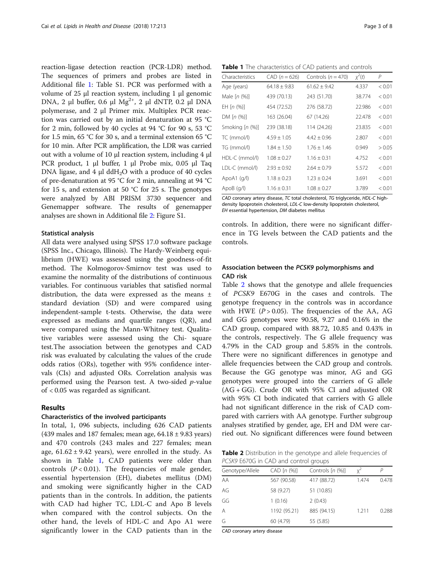reaction-ligase detection reaction (PCR-LDR) method. The sequences of primers and probes are listed in Additional file [1:](#page-6-0) Table S1. PCR was performed with a volume of 25 μl reaction system, including 1 μl genomic DNA, 2 μl buffer, 0.6 μl  $Mg^{2+}$ , 2 μl dNTP, 0.2 μl DNA polymerase, and 2 μl Primer mix. Multiplex PCR reaction was carried out by an initial denaturation at 95 °C for 2 min, followed by 40 cycles at 94 °C for 90 s, 53 °C for 1.5 min, 65 °C for 30 s, and a terminal extension 65 °C for 10 min. After PCR amplification, the LDR was carried out with a volume of 10 μl reaction system, including 4 μl PCR product, 1 μl buffer, 1 μl Probe mix, 0.05 μl Taq DNA ligase, and 4  $\mu$ l ddH<sub>2</sub>O with a produce of 40 cycles of pre-denaturation at 95 °C for 2 min, annealing at 94 °C for 15 s, and extension at 50  $\degree$ C for 25 s. The genotypes were analyzed by ABI PRISM 3730 sequencer and Genemapper software. The results of genemapper analyses are shown in Additional file [2](#page-6-0): Figure S1.

## Statistical analysis

All data were analysed using SPSS 17.0 software package (SPSS Inc., Chicago, Illinois). The Hardy-Weinberg equilibrium (HWE) was assessed using the goodness-of-fit method. The Kolmogorov-Smirnov test was used to examine the normality of the distributions of continuous variables. For continuous variables that satisfied normal distribution, the data were expressed as the means ± standard deviation (SD) and were compared using independent-sample t-tests. Otherwise, the data were expressed as medians and quartile ranges (QR), and were compared using the Mann-Whitney test. Qualitative variables were assessed using the Chi- square test.The association between the genotypes and CAD risk was evaluated by calculating the values of the crude odds ratios (ORs), together with 95% confidence intervals (CIs) and adjusted ORs. Correlation analysis was performed using the Pearson test. A two-sided p-value of < 0.05 was regarded as significant.

## Results

## Characteristics of the involved participants

In total, 1, 096 subjects, including 626 CAD patients (439 males and 187 females; mean age,  $64.18 \pm 9.83$  years) and 470 controls (243 males and 227 females; mean age,  $61.62 \pm 9.42$  years), were enrolled in the study. As shown in Table 1, CAD patients were older than controls  $(P < 0.01)$ . The frequencies of male gender, essential hypertension (EH), diabetes mellitus (DM) and smoking were significantly higher in the CAD patients than in the controls. In addition, the patients with CAD had higher TC, LDL-C and Apo B levels when compared with the control subjects. On the other hand, the levels of HDL-C and Apo A1 were significantly lower in the CAD patients than in the

Table 1 The characteristics of CAD patients and controls

| Characteristics   | $CAD (n = 626)$  | Controls ( $n = 470$ ) | $\chi^2(t)$ | P      |
|-------------------|------------------|------------------------|-------------|--------|
| Age (years)       | $64.18 \pm 9.83$ | $61.62 \pm 9.42$       | 4.337       | < 0.01 |
| Male $[n (%)]$    | 439 (70.13)      | 243 (51.70)            | 38.774      | < 0.01 |
| EH $[n (%)]$      | 454 (72.52)      | 276 (58.72)            | 22.986      | < 0.01 |
| DM $[n (%)]$      | 163 (26.04)      | 67 (14.26)             | 22.478      | < 0.01 |
| Smoking $[n (%)]$ | 239 (38.18)      | 114 (24.26)            | 23.835      | < 0.01 |
| TC (mmol/l)       | $4.59 \pm 1.05$  | $4.42 \pm 0.96$        | 2.807       | < 0.01 |
| TG (mmol/l)       | $1.84 \pm 1.50$  | $1.76 \pm 1.46$        | 0.949       | > 0.05 |
| HDL-C (mmol/l)    | $1.08 \pm 0.27$  | $1.16 \pm 0.31$        | 4.752       | < 0.01 |
| LDL-C (mmol/l)    | $2.93 \pm 0.92$  | $2.64 \pm 0.79$        | 5.572       | < 0.01 |
| ApoA1 $(q/l)$     | $1.18 \pm 0.23$  | $1.23 \pm 0.24$        | 3.691       | < 0.01 |
| ApoB(q/l)         | $1.16 \pm 0.31$  | $1.08 \pm 0.27$        | 3.789       | < 0.01 |

CAD coronary artery disease, TC total cholesterol, TG triglyceride, HDL-C highdensity lipoprotein cholesterol, LDL-C low-density lipoprotein cholesterol, EH essential hypertension, DM diabetes mellitus

controls. In addition, there were no significant difference in TG levels between the CAD patients and the controls.

## Association between the PCSK9 polymorphisms and CAD risk

Table 2 shows that the genotype and allele frequencies of PCSK9 E670G in the cases and controls. The genotype frequency in the controls was in accordance with HWE ( $P > 0.05$ ). The frequencies of the AA, AG and GG genotypes were 90.58, 9.27 and 0.16% in the CAD group, compared with 88.72, 10.85 and 0.43% in the controls, respectively. The G allele frequency was 4.79% in the CAD group and 5.85% in the controls. There were no significant differences in genotype and allele frequencies between the CAD group and controls. Because the GG genotype was minor, AG and GG genotypes were grouped into the carriers of G allele (AG + GG). Crude OR with 95% CI and adjusted OR with 95% CI both indicated that carriers with G allele had not significant difference in the risk of CAD compared with carriers with AA genotype. Further subgroup analyses stratified by gender, age, EH and DM were carried out. No significant differences were found between

Table 2 Distribution in the genotype and allele frequencies of PCSK9 E670G in CAD and control groups

| Genotype/Allele | CAD [n (%)]  | Controls [n (%)] | $x^2$ | Р     |
|-----------------|--------------|------------------|-------|-------|
| ΑA              | 567 (90.58)  | 417 (88.72)      | 1.474 | 0.478 |
| AG              | 58 (9.27)    | 51 (10.85)       |       |       |
| GG              | 1(0.16)      | 2(0.43)          |       |       |
| Α               | 1192 (95.21) | 885 (94.15)      | 1.211 | 0.288 |
| G               | 60 (4.79)    | 55 (5.85)        |       |       |
|                 |              |                  |       |       |

CAD coronary artery disease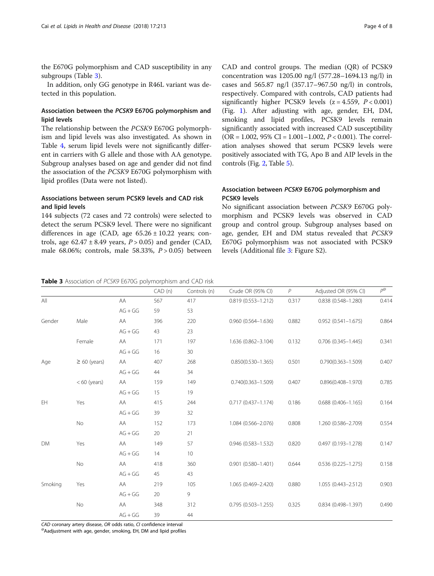the E670G polymorphism and CAD susceptibility in any subgroups (Table 3).

In addition, only GG genotype in R46L variant was detected in this population.

## Association between the PCSK9 E670G polymorphism and lipid levels

The relationship between the PCSK9 E670G polymorphism and lipid levels was also investigated. As shown in Table [4,](#page-4-0) serum lipid levels were not significantly different in carriers with G allele and those with AA genotype. Subgroup analyses based on age and gender did not find the association of the PCSK9 E670G polymorphism with lipid profiles (Data were not listed).

## Associations between serum PCSK9 levels and CAD risk and lipid levels

144 subjects (72 cases and 72 controls) were selected to detect the serum PCSK9 level. There were no significant differences in age (CAD, age  $65.26 \pm 10.22$  years; controls, age  $62.47 \pm 8.49$  years,  $P > 0.05$ ) and gender (CAD, male 68.06%; controls, male 58.33%,  $P > 0.05$ ) between CAD and control groups. The median (QR) of PCSK9 concentration was 1205.00 ng/l (577.28–1694.13 ng/l) in cases and 565.87 ng/l (357.17–967.50 ng/l) in controls, respectively. Compared with controls, CAD patients had significantly higher PCSK9 levels  $(z = 4.559, P < 0.001)$ (Fig. [1\)](#page-4-0). After adjusting with age, gender, EH, DM, smoking and lipid profiles, PCSK9 levels remain significantly associated with increased CAD susceptibility  $(OR = 1.002, 95\% CI = 1.001 - 1.002, P < 0.001)$ . The correlation analyses showed that serum PCSK9 levels were positively associated with TG, Apo B and AIP levels in the controls (Fig. [2,](#page-5-0) Table [5\)](#page-6-0).

## Association between PCSK9 E670G polymorphism and PCSK9 levels

No significant association between PCSK9 E670G polymorphism and PCSK9 levels was observed in CAD group and control group. Subgroup analyses based on age, gender, EH and DM status revealed that PCSK9 E670G polymorphism was not associated with PCSK9 levels (Additional file [3](#page-6-0): Figure S2).

#### Table 3 Association of PCSK9 E670G polymorphism and CAD risk

|         |                   |           | CAD (n) | Controls (n) | Crude OR (95% CI)         | P     | Adjusted OR (95% CI)      | $P^{\textcircled{\tiny 2}}$ |
|---------|-------------------|-----------|---------|--------------|---------------------------|-------|---------------------------|-----------------------------|
| All     |                   | AA        | 567     | 417          | $0.819(0.553 - 1.212)$    | 0.317 | $0.838$ $(0.548 - 1.280)$ | 0.414                       |
|         |                   | $AG + GG$ | 59      | 53           |                           |       |                           |                             |
| Gender  | Male              | AA        | 396     | 220          | $0.960(0.564 - 1.636)$    | 0.882 | $0.952(0.541 - 1.675)$    | 0.864                       |
|         |                   | $AG + GG$ | 43      | 23           |                           |       |                           |                             |
|         | Female            | AA        | 171     | 197          | 1.636 (0.862-3.104)       | 0.132 | $0.706$ $(0.345 - 1.445)$ | 0.341                       |
|         |                   | $AG + GG$ | 16      | 30           |                           |       |                           |                             |
| Age     | $\geq 60$ (years) | AA        | 407     | 268          | $0.850(0.530 - 1.365)$    | 0.501 | $0.790(0.363 - 1.509)$    | 0.407                       |
|         |                   | $AG + GG$ | 44      | 34           |                           |       |                           |                             |
|         | $< 60$ (years)    | AA        | 159     | 149          | $0.740(0.363 - 1.509)$    | 0.407 | $0.896(0.408 - 1.970)$    | 0.785                       |
|         |                   | $AG + GG$ | 15      | 19           |                           |       |                           |                             |
| EH      | Yes               | AA        | 415     | 244          | $0.717(0.437 - 1.174)$    | 0.186 | $0.688$ $(0.406 - 1.165)$ | 0.164                       |
|         |                   | $AG + GG$ | 39      | 32           |                           |       |                           |                             |
|         | No                | AA        | 152     | 173          | 1.084 (0.566-2.076)       | 0.808 | 1.260 (0.586-2.709)       | 0.554                       |
|         |                   | $AG + GG$ | 20      | 21           |                           |       |                           |                             |
| DM      | Yes               | AA        | 149     | 57           | $0.946$ (0.583-1.532)     | 0.820 | $0.497(0.193 - 1.278)$    | 0.147                       |
|         |                   | $AG + GG$ | 14      | 10           |                           |       |                           |                             |
|         | <b>No</b>         | AA        | 418     | 360          | $0.901$ $(0.580 - 1.401)$ | 0.644 | $0.536$ (0.225-1.275)     | 0.158                       |
|         |                   | $AG + GG$ | 45      | 43           |                           |       |                           |                             |
| Smoking | Yes               | AA        | 219     | 105          | 1.065 (0.469-2.420)       | 0.880 | 1.055 (0.443-2.512)       | 0.903                       |
|         |                   | $AG + GG$ | 20      | 9            |                           |       |                           |                             |
|         | No                | AA        | 348     | 312          | $0.795(0.503 - 1.255)$    | 0.325 | $0.834$ (0.498-1.397)     | 0.490                       |
|         |                   | $AG + GG$ | 39      | 44           |                           |       |                           |                             |

CAD coronary artery disease, OR odds ratio, CI confidence interval<br>@Aadjustment with age, gender, smoking, EH, DM and lipid profiles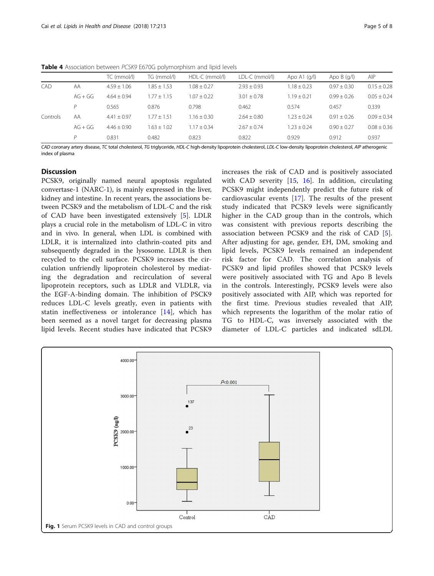<span id="page-4-0"></span>Table 4 Association between PCSK9 E670G polymorphism and lipid levels

|          |           | TC (mmol/l)   | TG (mmol/l)   | HDL-C (mmol/l) | LDL-C (mmol/l) | Apo A1 $(q/l)$  | Apo $B$ (q/l) | AIP           |
|----------|-----------|---------------|---------------|----------------|----------------|-----------------|---------------|---------------|
| CAD      | AA        | $4.59 + 1.06$ | $1.85 + 1.53$ | $1.08 + 0.27$  | $2.93 + 0.93$  | $1.18 \pm 0.23$ | $0.97 + 0.30$ | $0.15 + 0.28$ |
|          | $AG + GG$ | $4.64 + 0.94$ | $1.77 + 1.15$ | $1.07 + 0.22$  | $3.01 + 0.78$  | $1.19 + 0.21$   | $0.99 + 0.26$ | $0.05 + 0.24$ |
|          | D         | 0.565         | 0.876         | 0.798          | 0.462          | 0.574           | 0.457         | 0.339         |
| Controls | AA        | $4.41 + 0.97$ | $1.77 + 1.51$ | $1.16 + 0.30$  | $2.64 + 0.80$  | $1.23 + 0.24$   | $0.91 + 0.26$ | $0.09 + 0.34$ |
|          | $AG + GG$ | $4.46 + 0.90$ | $1.63 + 1.02$ | $1.17 + 0.34$  | $2.67 + 0.74$  | $1.23 + 0.24$   | $0.90 + 0.27$ | $0.08 + 0.36$ |
|          | D         | 0.831         | 0.482         | 0.823          | 0.822          | 0.929           | 0.912         | 0.937         |

CAD coronary artery disease, TC total cholesterol, TG triglyceride, HDL-C high-density lipoprotein cholesterol, LDL-C low-density lipoprotein cholesterol, AIP atherogenic index of plasma

## **Discussion**

PCSK9, originally named neural apoptosis regulated convertase-1 (NARC-1), is mainly expressed in the liver, kidney and intestine. In recent years, the associations between PCSK9 and the metabolism of LDL-C and the risk of CAD have been investigated extensively [[5\]](#page-6-0). LDLR plays a crucial role in the metabolism of LDL-C in vitro and in vivo. In general, when LDL is combined with LDLR, it is internalized into clathrin-coated pits and subsequently degraded in the lysosome. LDLR is then recycled to the cell surface. PCSK9 increases the circulation unfriendly lipoprotein cholesterol by mediating the degradation and recirculation of several lipoprotein receptors, such as LDLR and VLDLR, via the EGF-A-binding domain. The inhibition of PSCK9 reduces LDL-C levels greatly, even in patients with statin ineffectiveness or intolerance [[14\]](#page-7-0), which has been seemed as a novel target for decreasing plasma lipid levels. Recent studies have indicated that PCSK9 increases the risk of CAD and is positively associated with CAD severity [\[15](#page-7-0), [16](#page-7-0)]. In addition, circulating PCSK9 might independently predict the future risk of cardiovascular events [[17\]](#page-7-0). The results of the present study indicated that PCSK9 levels were significantly higher in the CAD group than in the controls, which was consistent with previous reports describing the association between PCSK9 and the risk of CAD [\[5](#page-6-0)]. After adjusting for age, gender, EH, DM, smoking and lipid levels, PCSK9 levels remained an independent risk factor for CAD. The correlation analysis of PCSK9 and lipid profiles showed that PCSK9 levels were positively associated with TG and Apo B levels in the controls. Interestingly, PCSK9 levels were also positively associated with AIP, which was reported for the first time. Previous studies revealed that AIP, which represents the logarithm of the molar ratio of TG to HDL-C, was inversely associated with the diameter of LDL-C particles and indicated sdLDL

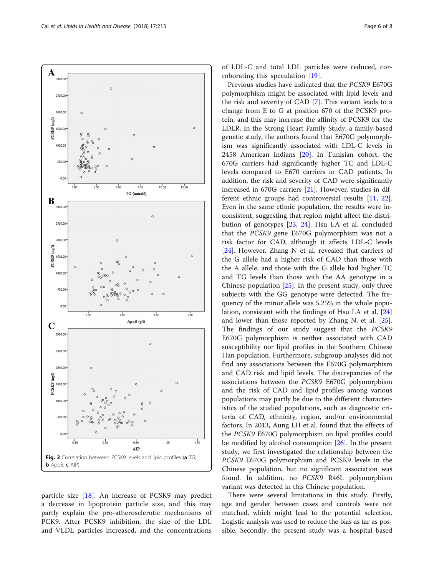<span id="page-5-0"></span>

particle size [[18](#page-7-0)]. An increase of PCSK9 may predict a decrease in lipoprotein particle size, and this may partly explain the pro-atherosclerotic mechanisms of PCK9. After PCSK9 inhibition, the size of the LDL and VLDL particles increased, and the concentrations of LDL-C and total LDL particles were reduced, corroborating this speculation [\[19](#page-7-0)].

Previous studies have indicated that the PCSK9 E670G polymorphism might be associated with lipid levels and the risk and severity of CAD [[7\]](#page-6-0). This variant leads to a change from E to G at position 670 of the PCSK9 protein, and this may increase the affinity of PCSK9 for the LDLR. In the Strong Heart Family Study, a family-based genetic study, the authors found that E670G polymorphism was significantly associated with LDL-C levels in 2458 American Indians [\[20](#page-7-0)]. In Tunisian cohort, the 670G carriers had significantly higher TC and LDL-C levels compared to E670 carriers in CAD patients. In addition, the risk and severity of CAD were significantly increased in 670G carriers [[21\]](#page-7-0). However, studies in different ethnic groups had controversial results [[11,](#page-7-0) [22](#page-7-0)]. Even in the same ethnic population, the results were inconsistent, suggesting that region might affect the distribution of genotypes [[23](#page-7-0), [24\]](#page-7-0). Hsu LA et al. concluded that the PCSK9 gene E670G polymorphism was not a risk factor for CAD, although it affects LDL-C levels [[24\]](#page-7-0). However, Zhang N et al. revealed that carriers of the G allele had a higher risk of CAD than those with the A allele, and those with the G allele had higher TC and TG levels than those with the AA genotype in a Chinese population  $[25]$  $[25]$  $[25]$ . In the present study, only three subjects with the GG genotype were detected. The frequency of the minor allele was 5.25% in the whole population, consistent with the findings of Hsu LA et al. [[24](#page-7-0)] and lower than those reported by Zhang N, et al. [\[25](#page-7-0)]. The findings of our study suggest that the PCSK9 E670G polymorphism is neither associated with CAD susceptibility nor lipid profiles in the Southern Chinese Han population. Furthermore, subgroup analyses did not find any associations between the E670G polymorphism and CAD risk and lipid levels. The discrepancies of the associations between the PCSK9 E670G polymorphism and the risk of CAD and lipid profiles among various populations may partly be due to the different characteristics of the studied populations, such as diagnostic criteria of CAD, ethnicity, region, and/or environmental factors. In 2013, Aung LH et al. found that the effects of the PCSK9 E670G polymorphism on lipid profiles could be modified by alcohol consumption [\[26\]](#page-7-0). In the present study, we first investigated the relationship between the PCSK9 E670G polymorphism and PCSK9 levels in the Chinese population, but no significant association was found. In addition, no PCSK9 R46L polymorphism variant was detected in this Chinese population.

There were several limitations in this study. Firstly, age and gender between cases and controls were not matched, which might lead to the potential selection. Logistic analysis was used to reduce the bias as far as possible. Secondly, the present study was a hospital based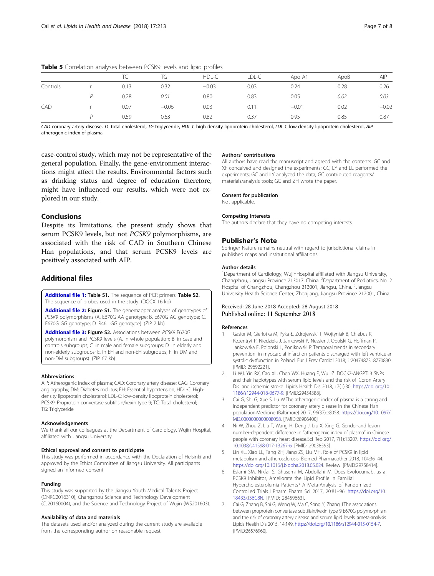|          |  |      | TG      | HDL-C   | LDL-C | Apo A1  | ApoB | AIP     |  |
|----------|--|------|---------|---------|-------|---------|------|---------|--|
| Controls |  | 0.13 | 0.32    | $-0.03$ | 0.03  | 0.24    | 0.28 | 0.26    |  |
|          |  | 0.28 | 0.01    | 0.80    | 0.83  | 0.05    | 0.02 | 0.03    |  |
| CAD      |  | 0.07 | $-0.06$ | 0.03    | 0.11  | $-0.01$ | 0.02 | $-0.02$ |  |
|          |  | 0.59 | 0.63    | 0.82    | 0.37  | 0.95    | 0.85 | 0.87    |  |

<span id="page-6-0"></span>Table 5 Correlation analyses between PCSK9 levels and lipid profiles

CAD coronary artery disease, TC total cholesterol, TG triglyceride, HDL-C high-density lipoprotein cholesterol, LDL-C low-density lipoprotein cholesterol, AIP atherogenic index of plasma

case-control study, which may not be representative of the general population. Finally, the gene-environment interactions might affect the results. Environmental factors such as drinking status and degree of education therefore, might have influenced our results, which were not explored in our study.

## Conclusions

Despite its limitations, the present study shows that serum PCSK9 levels, but not PCSK9 polymorphisms, are associated with the risk of CAD in Southern Chinese Han populations, and that serum PCSK9 levels are positively associated with AIP.

## Additional files

[Additional file 1:](https://doi.org/10.1186/s12944-018-0859-5) Table S1. The sequence of PCR primers. Table S2. The sequence of probes used in the study. (DOCX 16 kb)

[Additional file 2:](https://doi.org/10.1186/s12944-018-0859-5) Figure S1. The genemapper analyses of genotypes of PCSK9 polymorphisms (A. E670G AA genotype; B. E670G AG genotype; C. E670G GG genotype; D. R46L GG genotype). (ZIP 7 kb)

[Additional file 3:](https://doi.org/10.1186/s12944-018-0859-5) Figure S2. Associations between PCSK9 E670G polymorphism and PCSK9 levels (A. in whole population; B. in case and controls subgroups; C. in male and female subgroups; D. in elderly and non-elderly subgroups; E. in EH and non-EH subgroups; F. in DM and non-DM subgroups). (ZIP 67 kb)

### Abbreviations

AIP: Atherogenic index of plasma; CAD: Coronary artery disease; CAG: Coronary angiography; DM: Diabetes mellitus; EH: Essential hypertension; HDL-C: Highdensity lipoprotein cholesterol; LDL-C: low-density lipoprotein cholesterol; PCSK9: Proprotein convertase subtilisin/kexin type 9; TC: Total cholesterol; **TG: Triglyceride** 

#### Acknowledgements

We thank all our colleagues at the Department of Cardiology, Wujin Hospital, affiliated with Jiangsu University.

#### Ethical approval and consent to participate

This study was performed in accordance with the Declaration of Helsinki and approved by the Ethics Committee of Jiangsu University. All participants signed an informed consent.

#### Funding

This study was supported by the Jiangsu Youth Medical Talents Project (QNRC2016310), Changzhou Science and Technology Development (CJ20160004), and the Science and Technology Project of Wujin (WS201603).

#### Availability of data and materials

The datasets used and/or analyzed during the current study are available from the corresponding author on reasonable request.

## Authors' contributions

All authors have read the manuscript and agreed with the contents. GC and XF conceived and designed the experiments; GC, LY and LL performed the experiments; GC and LY analyzed the data; GC contributed reagents/ materials/analysis tools; GC and ZH wrote the paper.

#### Consent for publication

Not applicable.

#### Competing interests

The authors declare that they have no competing interests.

#### Publisher's Note

Springer Nature remains neutral with regard to jurisdictional claims in published maps and institutional affiliations.

#### Author details

<sup>1</sup>Department of Cardiology, WujinHospital affiliated with Jiangsu University Changzhou, Jiangsu Province 213017, China. <sup>2</sup>Department of Pediatrics, No. 2 Hospital of Changzhou, Changzhou 213001, Jiangsu, China. <sup>3</sup>Jiangsu University Health Science Center, Zhenjiang, Jiangsu Province 212001, China.

## Received: 28 June 2018 Accepted: 28 August 2018 Published online: 11 September 2018

#### References

- 1. Gasior M, Gierlotka M, Pyka Ł, Zdrojewski T, Wojtyniak B, Chlebus K, Rozentryt P, Niedziela J, Jankowski P, Nessler J, Opolski G, Hoffman P, Jankowska E, Polonski L, Ponikowski P Temporal trends in secondary prevention in myocardial infarction patients discharged with left ventricular systolic dysfunction in Poland. Eur J Prev Cardiol 2018; 1:2047487318770830. [PMID: 29692221].
- 2. Li WJ, Yin RX, Cao XL, Chen WX, Huang F, Wu JZ. DOCK7-ANGPTL3 SNPs and their haplotypes with serum lipid levels and the risk of Coron Artery Dis and ischemic stroke. Lipids Health Dis 2018, 17(1):30. [https://doi.org/10.](https://doi.org/10.1186/s12944-018-0677-9) [1186/s12944-018-0677-9](https://doi.org/10.1186/s12944-018-0677-9). [PMID:29454388].
- 3. Cai G, Shi G, Xue S, Lu W.The atherogenic index of plasma is a strong and independent predictor for coronary artery disease in the Chinese Han population.Medicine (Baltimore) 2017, 96(37):e8058. [https://doi.org/10.1097/](https://doi.org/10.1097/MD.0000000000008058) [MD.0000000000008058.](https://doi.org/10.1097/MD.0000000000008058) [PMID:28906400]
- Ni W, Zhou Z, Liu T, Wang H, Deng J, Liu X, Xing G. Gender-and lesion number-dependent difference in "atherogenic index of plasma" in Chinese people with coronary heart disease.Sci Rep 2017, 7(1):13207. [https://doi.org/](https://doi.org/10.1038/s41598-017-13267-6) [10.1038/s41598-017-13267-6](https://doi.org/10.1038/s41598-017-13267-6). [PMID: 29038593]
- Lin XL, Xiao LL, Tang ZH, Jiang ZS, Liu MH. Role of PCSK9 in lipid metabolism and atherosclerosis. Biomed Pharmacother 2018, 104:36–44. [https://doi.org/10.1016/j.biopha.2018.05.024.](https://doi.org/10.1016/j.biopha.2018.05.024) Review. [PMID:29758414].
- 6. Eslami SM, Nikfar S, Ghasemi M, Abdollahi M. Does Evolocumab, as a PCSK9 Inhibitor, Ameliorate the Lipid Profile in Familial Hypercholesterolemia Patients? A Meta-Analysis of Randomized Controlled Trials.J Pharm Pharm Sci 2017, 20:81–96. [https://doi.org/10.](https://doi.org/10.18433/J36C8N) [18433/J36C8N.](https://doi.org/10.18433/J36C8N) [PMID: 28459663].
- 7. Cai G, Zhang B, Shi G, Weng W, Ma C, Song Y, Zhang J.The associations between proprotein convertase subtilisin/kexin type 9 E670G polymorphism and the risk of coronary artery disease and serum lipid levels: ameta-analysis. Lipids Health Dis 2015, 14:149. [https://doi.org/10.1186/s12944-015-0154-7.](https://doi.org/10.1186/s12944-015-0154-7) [PMID:26576960].